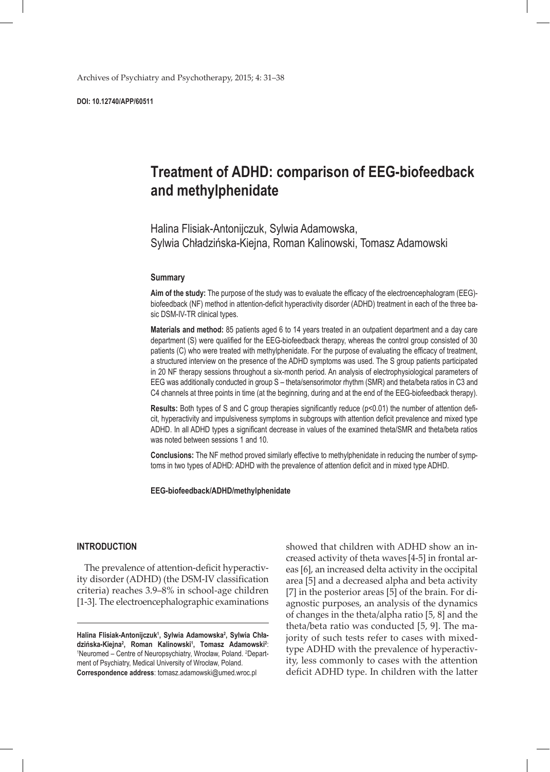**DOI: 10.12740/APP/60511**

# **Treatment of ADHD: comparison of EEG-biofeedback and methylphenidate**

Halina Flisiak-Antonijczuk, Sylwia Adamowska, Sylwia Chładzińska-Kiejna, Roman Kalinowski, Tomasz Adamowski

#### **Summary**

**Aim of the study:** The purpose of the study was to evaluate the efficacy of the electroencephalogram (EEG) biofeedback (NF) method in attention-deficit hyperactivity disorder (ADHD) treatment in each of the three basic DSM-IV-TR clinical types.

**Materials and method:** 85 patients aged 6 to 14 years treated in an outpatient department and a day care department (S) were qualified for the EEG-biofeedback therapy, whereas the control group consisted of 30 patients (C) who were treated with methylphenidate. For the purpose of evaluating the efficacy of treatment, a structured interview on the presence of the ADHD symptoms was used. The S group patients participated in 20 NF therapy sessions throughout a six-month period. An analysis of electrophysiological parameters of EEG was additionally conducted in group S – theta/sensorimotor rhythm (SMR) and theta/beta ratios in C3 and C4 channels at three points in time (at the beginning, during and at the end of the EEG-biofeedback therapy).

**Results:** Both types of S and C group therapies significantly reduce (p<0.01) the number of attention deficit, hyperactivity and impulsiveness symptoms in subgroups with attention deficit prevalence and mixed type ADHD. In all ADHD types a significant decrease in values of the examined theta/SMR and theta/beta ratios was noted between sessions 1 and 10.

**Conclusions:** The NF method proved similarly effective to methylphenidate in reducing the number of symptoms in two types of ADHD: ADHD with the prevalence of attention deficit and in mixed type ADHD.

**EEG-biofeedback/ADHD/methylphenidate**

## **INTRODUCTION**

The prevalence of attention-deficit hyperactivity disorder (ADHD) (the DSM-IV classification criteria) reaches 3.9–8% in school-age children [1-3]. The electroencephalographic examinations showed that children with ADHD show an increased activity of theta waves [4-5] in frontal areas [6], an increased delta activity in the occipital area [5] and a decreased alpha and beta activity [7] in the posterior areas [5] of the brain. For diagnostic purposes, an analysis of the dynamics of changes in the theta/alpha ratio [5, 8] and the theta/beta ratio was conducted [5, 9]. The majority of such tests refer to cases with mixedtype ADHD with the prevalence of hyperactivity, less commonly to cases with the attention deficit ADHD type. In children with the latter

**Halina Flisiak-Antonijczuk1 , Sylwia Adamowska2 , Sylwia Chładzińska-Kiejna<sup>2</sup>, Roman Kalinowski<sup>1</sup>; Tomasz Adamowski<sup>2</sup>:<br><sup>1</sup>Neuromed – Centre of Neuronsychiatry Wrocław Poland <sup>2</sup>Denart-**Neuromed – Centre of Neuropsychiatry, Wrocław, Poland. <sup>2</sup>Department of Psychiatry, Medical University of Wrocław, Poland. **Correspondence address**: tomasz.adamowski@umed.wroc.pl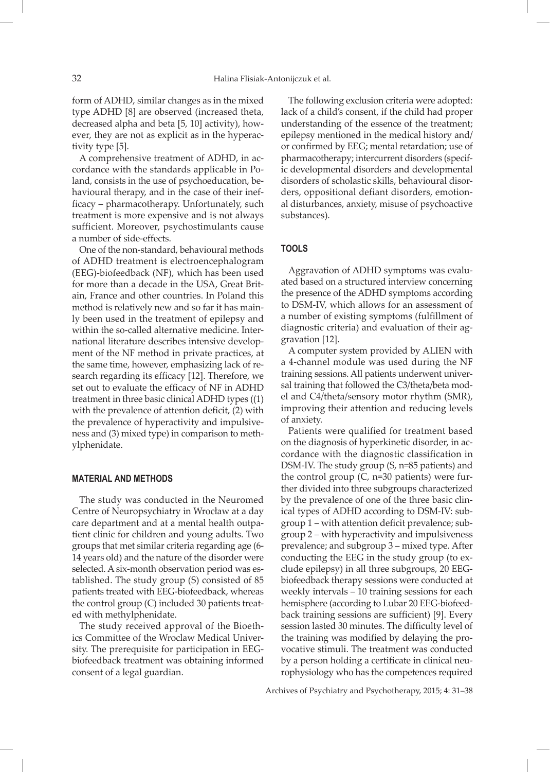form of ADHD, similar changes as in the mixed type ADHD [8] are observed (increased theta, decreased alpha and beta [5, 10] activity), however, they are not as explicit as in the hyperactivity type [5].

A comprehensive treatment of ADHD, in accordance with the standards applicable in Poland, consists in the use of psychoeducation, behavioural therapy, and in the case of their inefficacy – pharmacotherapy. Unfortunately, such treatment is more expensive and is not always sufficient. Moreover, psychostimulants cause a number of side-effects.

One of the non-standard, behavioural methods of ADHD treatment is electroencephalogram (EEG)-biofeedback (NF), which has been used for more than a decade in the USA, Great Britain, France and other countries. In Poland this method is relatively new and so far it has mainly been used in the treatment of epilepsy and within the so-called alternative medicine. International literature describes intensive development of the NF method in private practices, at the same time, however, emphasizing lack of research regarding its efficacy [12]. Therefore, we set out to evaluate the efficacy of NF in ADHD treatment in three basic clinical ADHD types ((1) with the prevalence of attention deficit, (2) with the prevalence of hyperactivity and impulsiveness and (3) mixed type) in comparison to methylphenidate.

#### **MATERIAL AND METHODS**

The study was conducted in the Neuromed Centre of Neuropsychiatry in Wrocław at a day care department and at a mental health outpatient clinic for children and young adults. Two groups that met similar criteria regarding age (6- 14 years old) and the nature of the disorder were selected. A six-month observation period was established. The study group (S) consisted of 85 patients treated with EEG-biofeedback, whereas the control group (C) included 30 patients treated with methylphenidate.

The study received approval of the Bioethics Committee of the Wroclaw Medical University. The prerequisite for participation in EEGbiofeedback treatment was obtaining informed consent of a legal guardian.

The following exclusion criteria were adopted: lack of a child's consent, if the child had proper understanding of the essence of the treatment; epilepsy mentioned in the medical history and/ or confirmed by EEG; mental retardation; use of pharmacotherapy; intercurrent disorders (specific developmental disorders and developmental disorders of scholastic skills, behavioural disorders, oppositional defiant disorders, emotional disturbances, anxiety, misuse of psychoactive substances).

# **TOOLS**

Aggravation of ADHD symptoms was evaluated based on a structured interview concerning the presence of the ADHD symptoms according to DSM-IV, which allows for an assessment of a number of existing symptoms (fulfillment of diagnostic criteria) and evaluation of their aggravation [12].

A computer system provided by ALIEN with a 4-channel module was used during the NF training sessions. All patients underwent universal training that followed the C3/theta/beta model and C4/theta/sensory motor rhythm (SMR), improving their attention and reducing levels of anxiety.

Patients were qualified for treatment based on the diagnosis of hyperkinetic disorder, in accordance with the diagnostic classification in DSM-IV. The study group (S, n=85 patients) and the control group (C, n=30 patients) were further divided into three subgroups characterized by the prevalence of one of the three basic clinical types of ADHD according to DSM-IV: subgroup 1 – with attention deficit prevalence; subgroup 2 – with hyperactivity and impulsiveness prevalence; and subgroup 3 – mixed type. After conducting the EEG in the study group (to exclude epilepsy) in all three subgroups, 20 EEGbiofeedback therapy sessions were conducted at weekly intervals – 10 training sessions for each hemisphere (according to Lubar 20 EEG-biofeedback training sessions are sufficient) [9]. Every session lasted 30 minutes. The difficulty level of the training was modified by delaying the provocative stimuli. The treatment was conducted by a person holding a certificate in clinical neurophysiology who has the competences required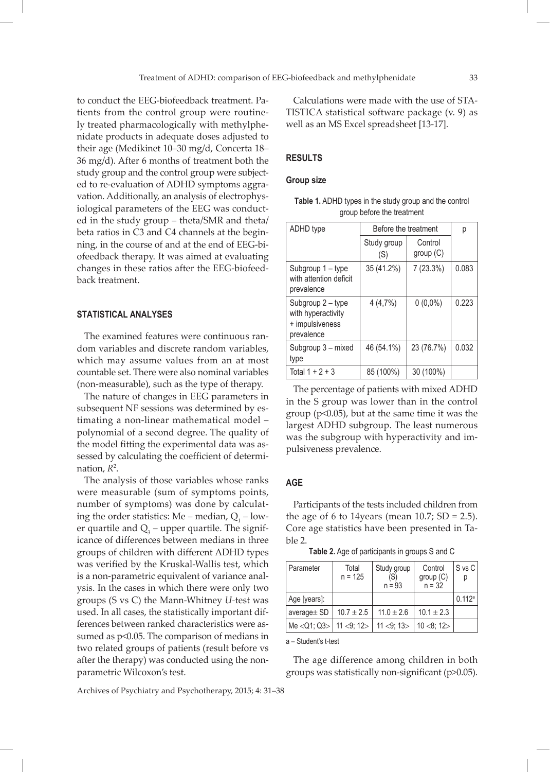to conduct the EEG-biofeedback treatment. Patients from the control group were routinely treated pharmacologically with methylphenidate products in adequate doses adjusted to their age (Medikinet 10–30 mg/d, Concerta 18– 36 mg/d). After 6 months of treatment both the study group and the control group were subjected to re-evaluation of ADHD symptoms aggravation. Additionally, an analysis of electrophysiological parameters of the EEG was conducted in the study group – theta/SMR and theta/ beta ratios in C3 and C4 channels at the beginning, in the course of and at the end of EEG-biofeedback therapy. It was aimed at evaluating changes in these ratios after the EEG-biofeedback treatment.

## **STATISTICAL ANALYSES**

The examined features were continuous random variables and discrete random variables, which may assume values from an at most countable set. There were also nominal variables (non-measurable), such as the type of therapy.

The nature of changes in EEG parameters in subsequent NF sessions was determined by estimating a non-linear mathematical model – polynomial of a second degree. The quality of the model fitting the experimental data was assessed by calculating the coefficient of determination, *R*<sup>2</sup> .

The analysis of those variables whose ranks were measurable (sum of symptoms points, number of symptoms) was done by calculating the order statistics: Me – median,  $Q_{1}$  – lower quartile and  $\mathrm{Q}_{\scriptscriptstyle{3}}$  – upper quartile. The significance of differences between medians in three groups of children with different ADHD types was verified by the Kruskal-Wallis test, which is a non-parametric equivalent of variance analysis. In the cases in which there were only two groups (S vs C) the Mann-Whitney *U-*test was used. In all cases, the statistically important differences between ranked characteristics were assumed as  $p<0.05$ . The comparison of medians in two related groups of patients (result before vs after the therapy) was conducted using the nonparametric Wilcoxon's test.

Calculations were made with the use of STA-TISTICA statistical software package (v. 9) as well as an MS Excel spreadsheet [13-17].

# **RESULTS**

#### **Group size**

| <b>Table 1.</b> ADHD types in the study group and the control |  |
|---------------------------------------------------------------|--|
| group before the treatment                                    |  |

| ADHD type                                                                |                    | Before the treatment |       |  |  |  |
|--------------------------------------------------------------------------|--------------------|----------------------|-------|--|--|--|
|                                                                          | Study group<br>(S) | Control<br>group(C)  |       |  |  |  |
| Subgroup 1 - type<br>with attention deficit<br>prevalence                | 35 (41.2%)         | 7(23.3%)             | 0.083 |  |  |  |
| Subgroup 2 - type<br>with hyperactivity<br>+ impulsiveness<br>prevalence | 4(4,7%)            | $0(0,0\%)$           | 0.223 |  |  |  |
| Subgroup 3 - mixed<br>type                                               | 46 (54.1%)         | 23 (76.7%)           | 0.032 |  |  |  |
| Total $1 + 2 + 3$                                                        | 85 (100%)          | 30 (100%)            |       |  |  |  |

The percentage of patients with mixed ADHD in the S group was lower than in the control group (p<0.05), but at the same time it was the largest ADHD subgroup. The least numerous was the subgroup with hyperactivity and impulsiveness prevalence.

## **AGE**

Participants of the tests included children from the age of 6 to 14 years (mean  $10.7$ ; SD = 2.5). Core age statistics have been presented in Table 2.

**Table 2.** Age of participants in groups S and C

| Parameter         | Total<br>$n = 125$ | Study group<br>(S)<br>$n = 93$ | Control<br>group $(C)$<br>n = 32 | S vs C<br>р |
|-------------------|--------------------|--------------------------------|----------------------------------|-------------|
| Age [years]:      |                    |                                |                                  | 0.112a      |
| average $\pm$ SD  | $10.7 \pm 2.5$     | $11.0 \pm 2.6$                 | $10.1 \pm 2.3$                   |             |
| $Me < Q1$ ; $Q3>$ | 11 $<$ 9; 12 >     | 11 < 9; 13 >                   | 10 < 8; 12>                      |             |

a – Student's t-test

The age difference among children in both groups was statistically non-significant (p>0.05).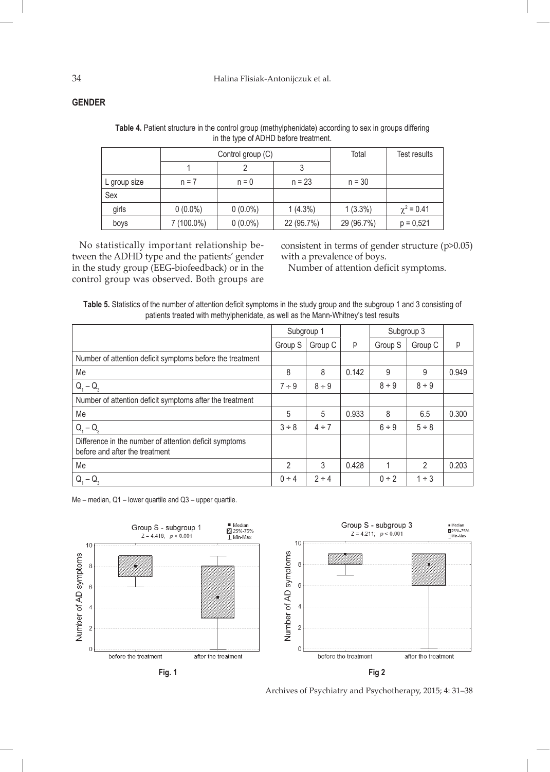# **GENDER**

| Table 4. Patient structure in the control group (methylphenidate) according to sex in groups differing |  |  |  |
|--------------------------------------------------------------------------------------------------------|--|--|--|
| in the type of ADHD before treatment.                                                                  |  |  |  |

|              | Control group (C) |            |            | Total      | Test results    |
|--------------|-------------------|------------|------------|------------|-----------------|
|              |                   |            |            |            |                 |
| L group size | $n = 7$           | $n = 0$    | $n = 23$   | $n = 30$   |                 |
| Sex          |                   |            |            |            |                 |
| girls        | $0(0.0\%)$        | $0(0.0\%)$ | $1(4.3\%)$ | $1(3.3\%)$ | $\chi^2 = 0.41$ |
| boys         | 7 (100.0%)        | $0(0.0\%)$ | 22 (95.7%) | 29 (96.7%) | $p = 0,521$     |

No statistically important relationship between the ADHD type and the patients' gender in the study group (EEG-biofeedback) or in the control group was observed. Both groups are consistent in terms of gender structure (p>0.05) with a prevalence of boys.

Number of attention deficit symptoms.

| Table 5. Statistics of the number of attention deficit symptoms in the study group and the subgroup 1 and 3 consisting of |                                                                                   |  |
|---------------------------------------------------------------------------------------------------------------------------|-----------------------------------------------------------------------------------|--|
|                                                                                                                           | patients treated with methylphenidate, as well as the Mann-Whitney's test results |  |

|                                                                                          | Subgroup 1 |            |       | Subgroup 3 |            |       |
|------------------------------------------------------------------------------------------|------------|------------|-------|------------|------------|-------|
|                                                                                          | Group S    | Group C    | p     | Group S    | Group C    | р     |
| Number of attention deficit symptoms before the treatment                                |            |            |       |            |            |       |
| Me                                                                                       | 8          | 8          | 0.142 | 9          | 9          | 0.949 |
| $Q_1 - Q_3$                                                                              | 7 ÷ 9      | $8 \div 9$ |       | $8 \div 9$ | $8 \div 9$ |       |
| Number of attention deficit symptoms after the treatment                                 |            |            |       |            |            |       |
| Me                                                                                       | 5          | 5          | 0.933 | 8          | 6.5        | 0.300 |
| $Q_{1} - Q_{2}$                                                                          | $3 \div 8$ | $4 \div 7$ |       | $6 \div 9$ | $5 \div 8$ |       |
| Difference in the number of attention deficit symptoms<br>before and after the treatment |            |            |       |            |            |       |
| Me                                                                                       | 2          | 3          | 0.428 |            | 2          | 0.203 |
| $Q_1 - Q_2$                                                                              | $0 \div 4$ | $2 \div 4$ |       | $0 \div 2$ | $\div$ 3   |       |

Me – median, Q1 – lower quartile and Q3 – upper quartile.

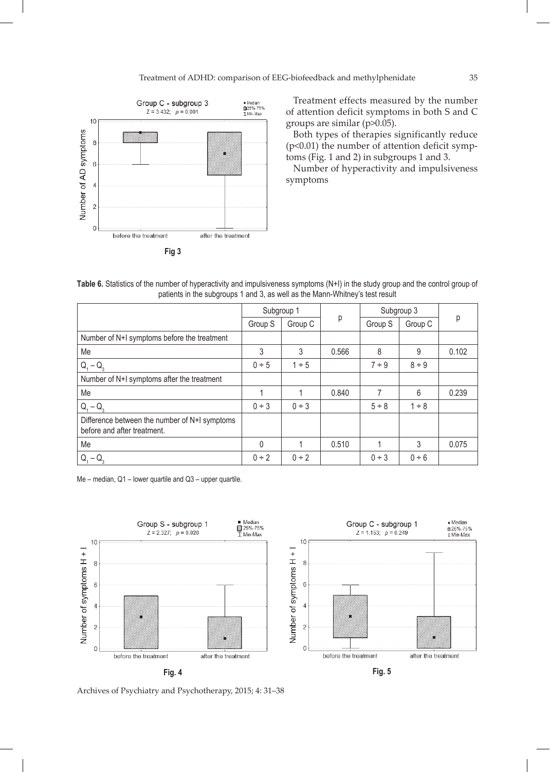

Treatment effects measured by the number of attention deficit symptoms in both S and C groups are similar (p>0.05).

Both types of therapies significantly reduce (p<0.01) the number of attention deficit symptoms (Fig. 1 and 2) in subgroups 1 and 3.

Number of hyperactivity and impulsiveness symptoms

**Table 6.** Statistics of the number of hyperactivity and impulsiveness symptoms (N+I) in the study group and the control group of patients in the subgroups 1 and 3, as well as the Mann-Whitney's test result

|                                                                              | Subgroup 1 |            |       | Subgroup 3 |            |       |
|------------------------------------------------------------------------------|------------|------------|-------|------------|------------|-------|
|                                                                              | Group S    | Group C    | р     | Group S    | Group C    | р     |
| Number of N+I symptoms before the treatment                                  |            |            |       |            |            |       |
| Me                                                                           | 3          | 3          | 0.566 | 8          | 9          | 0.102 |
| $Q_1 - Q_3$                                                                  | $0 \div 5$ | $1 \div 5$ |       | $7 \div 9$ | $8 \div 9$ |       |
| Number of N+I symptoms after the treatment                                   |            |            |       |            |            |       |
| Me                                                                           |            | 1          | 0.840 |            | 6          | 0.239 |
| $Q_1 - Q_2$                                                                  | 0 ÷ 3      | 0 ÷ 3      |       | $5 \div 8$ | $1 \div 8$ |       |
| Difference between the number of N+I symptoms<br>before and after treatment. |            |            |       |            |            |       |
| Me                                                                           | 0          |            | 0.510 |            | 3          | 0.075 |
| $Q_1 - Q_2$                                                                  | $0 \div 2$ | $0 \div 2$ |       | $0 \div 3$ | 0 ÷ 6      |       |

Me – median, Q1 – lower quartile and Q3 – upper quartile.

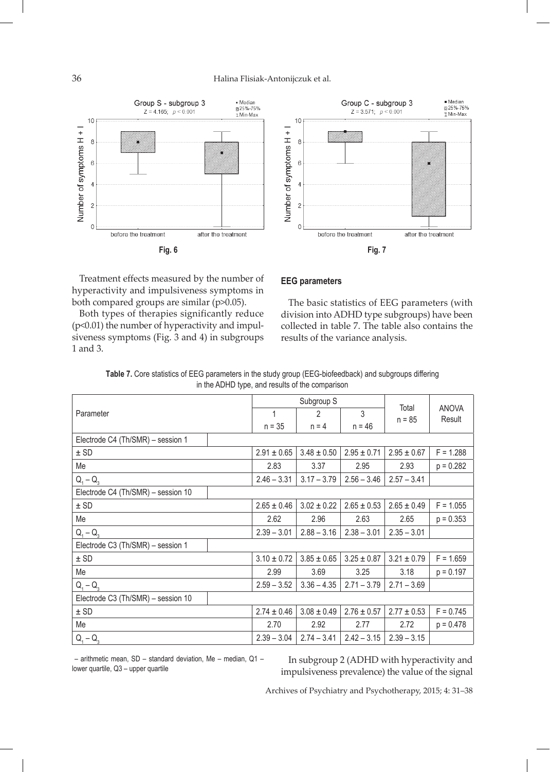



Treatment effects measured by the number of hyperactivity and impulsiveness symptoms in both compared groups are similar (p>0.05).

Both types of therapies significantly reduce (p<0.01) the number of hyperactivity and impulsiveness symptoms (Fig. 3 and 4) in subgroups 1 and 3.

# **EEG parameters**

The basic statistics of EEG parameters (with division into ADHD type subgroups) have been collected in table 7. The table also contains the results of the variance analysis.

| Table 7. Core statistics of EEG parameters in the study group (EEG-biofeedback) and subgroups differing |  |
|---------------------------------------------------------------------------------------------------------|--|
| in the ADHD type, and results of the comparison                                                         |  |

|                                    |                 | Subgroup S      |                 |                   |                        |
|------------------------------------|-----------------|-----------------|-----------------|-------------------|------------------------|
| Parameter                          | 1               | $\mathfrak{p}$  | 3               | Total<br>$n = 85$ | <b>ANOVA</b><br>Result |
|                                    | $n = 35$        | $n = 4$         | $n = 46$        |                   |                        |
| Electrode C4 (Th/SMR) - session 1  |                 |                 |                 |                   |                        |
| $±$ SD                             | $2.91 \pm 0.65$ | $3.48 \pm 0.50$ | $2.95 \pm 0.71$ | $2.95 \pm 0.67$   | $F = 1.288$            |
| Me                                 | 2.83            | 3.37            | 2.95            | 2.93              | $p = 0.282$            |
| $Q_1 - Q_3$                        | $2.46 - 3.31$   | $3.17 - 3.79$   | $2.56 - 3.46$   | $2.57 - 3.41$     |                        |
| Electrode C4 (Th/SMR) - session 10 |                 |                 |                 |                   |                        |
| $±$ SD                             | $2.65 \pm 0.46$ | $3.02 \pm 0.22$ | $2.65 \pm 0.53$ | $2.65 \pm 0.49$   | $F = 1.055$            |
| Me                                 | 2.62            | 2.96            | 2.63            | 2.65              | $p = 0.353$            |
| $Q_1 - Q_2$                        | $2.39 - 3.01$   | $2.88 - 3.16$   | $2.38 - 3.01$   | $2.35 - 3.01$     |                        |
| Electrode C3 (Th/SMR) - session 1  |                 |                 |                 |                   |                        |
| $±$ SD                             | $3.10 \pm 0.72$ | $3.85 \pm 0.65$ | $3.25 \pm 0.87$ | $3.21 \pm 0.79$   | $F = 1.659$            |
| Me                                 | 2.99            | 3.69            | 3.25            | 3.18              | $p = 0.197$            |
| $Q_1 - Q_3$                        | $2.59 - 3.52$   | $3.36 - 4.35$   | $2.71 - 3.79$   | $2.71 - 3.69$     |                        |
| Electrode C3 (Th/SMR) - session 10 |                 |                 |                 |                   |                        |
| $±$ SD                             | $2.74 \pm 0.46$ | $3.08 \pm 0.49$ | $2.76 \pm 0.57$ | $2.77 \pm 0.53$   | $F = 0.745$            |
| Me                                 | 2.70            | 2.92            | 2.77            | 2.72              | $p = 0.478$            |
| $Q_1 - Q_3$                        | $2.39 - 3.04$   | $2.74 - 3.41$   | $2.42 - 3.15$   | $2.39 - 3.15$     |                        |

 – arithmetic mean, SD – standard deviation, Me – median, Q1 – lower quartile, Q3 – upper quartile

In subgroup 2 (ADHD with hyperactivity and impulsiveness prevalence) the value of the signal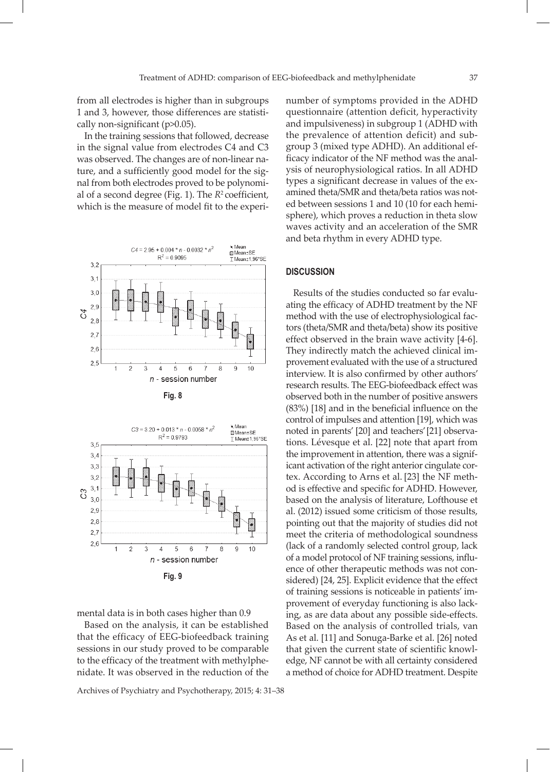from all electrodes is higher than in subgroups 1 and 3, however, those differences are statistically non-significant (p>0.05).

In the training sessions that followed, decrease in the signal value from electrodes C4 and C3 was observed. The changes are of non-linear nature, and a sufficiently good model for the signal from both electrodes proved to be polynomial of a second degree (Fig. 1). The *R*2 coefficient, which is the measure of model fit to the experi-



**Fig. 8**



mental data is in both cases higher than 0.9

Based on the analysis, it can be established that the efficacy of EEG-biofeedback training sessions in our study proved to be comparable to the efficacy of the treatment with methylphenidate. It was observed in the reduction of the

Archives of Psychiatry and Psychotherapy, 2015; 4: 31–38

number of symptoms provided in the ADHD questionnaire (attention deficit, hyperactivity and impulsiveness) in subgroup 1 (ADHD with the prevalence of attention deficit) and subgroup 3 (mixed type ADHD). An additional efficacy indicator of the NF method was the analysis of neurophysiological ratios. In all ADHD types a significant decrease in values of the examined theta/SMR and theta/beta ratios was noted between sessions 1 and 10 (10 for each hemisphere), which proves a reduction in theta slow waves activity and an acceleration of the SMR and beta rhythm in every ADHD type.

#### **DISCUSSION**

Results of the studies conducted so far evaluating the efficacy of ADHD treatment by the NF method with the use of electrophysiological factors (theta/SMR and theta/beta) show its positive effect observed in the brain wave activity [4-6]. They indirectly match the achieved clinical improvement evaluated with the use of a structured interview. It is also confirmed by other authors' research results. The EEG-biofeedback effect was observed both in the number of positive answers (83%) [18] and in the beneficial influence on the control of impulses and attention [19], which was noted in parents' [20] and teachers'[21] observations. Lévesque et al. [22] note that apart from the improvement in attention, there was a significant activation of the right anterior cingulate cortex. According to Arns et al. [23] the NF method is effective and specific for ADHD. However, based on the analysis of literature, Lofthouse et al. (2012) issued some criticism of those results, pointing out that the majority of studies did not meet the criteria of methodological soundness (lack of a randomly selected control group, lack of a model protocol of NF training sessions, influence of other therapeutic methods was not considered) [24, 25]. Explicit evidence that the effect of training sessions is noticeable in patients' improvement of everyday functioning is also lacking, as are data about any possible side-effects. Based on the analysis of controlled trials, van As et al. [11] and Sonuga-Barke et al. [26] noted that given the current state of scientific knowledge, NF cannot be with all certainty considered a method of choice for ADHD treatment. Despite